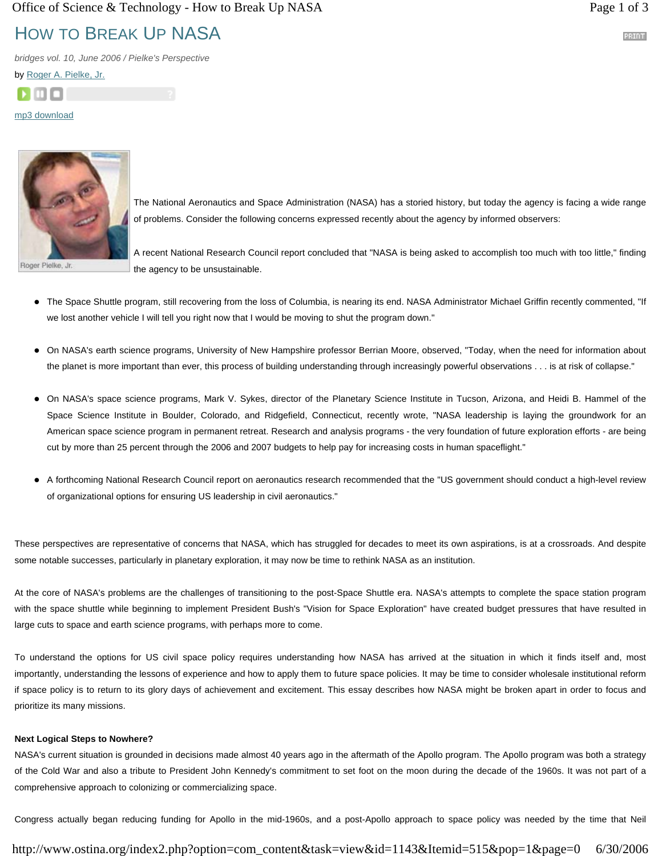# HOW TO BREAK UP NASA

*bridges vol. 10, June 2006 / Pielke's Perspective*

by Roger A. Pielke, Jr.



mp3 download



The National Aeronautics and Space Administration (NASA) has a storied history, but today the agency is facing a wide range of problems. Consider the following concerns expressed recently about the agency by informed observers:

Roger Pielke, Jr.

A recent National Research Council report concluded that "NASA is being asked to accomplish too much with too little," finding the agency to be unsustainable.

- The Space Shuttle program, still recovering from the loss of Columbia, is nearing its end. NASA Administrator Michael Griffin recently commented, "If we lost another vehicle I will tell you right now that I would be moving to shut the program down."
- On NASA's earth science programs, University of New Hampshire professor Berrian Moore, observed, "Today, when the need for information about the planet is more important than ever, this process of building understanding through increasingly powerful observations . . . is at risk of collapse."
- On NASA's space science programs, Mark V. Sykes, director of the Planetary Science Institute in Tucson, Arizona, and Heidi B. Hammel of the Space Science Institute in Boulder, Colorado, and Ridgefield, Connecticut, recently wrote, "NASA leadership is laying the groundwork for an American space science program in permanent retreat. Research and analysis programs - the very foundation of future exploration efforts - are being cut by more than 25 percent through the 2006 and 2007 budgets to help pay for increasing costs in human spaceflight."
- A forthcoming National Research Council report on aeronautics research recommended that the "US government should conduct a high-level review of organizational options for ensuring US leadership in civil aeronautics."

These perspectives are representative of concerns that NASA, which has struggled for decades to meet its own aspirations, is at a crossroads. And despite some notable successes, particularly in planetary exploration, it may now be time to rethink NASA as an institution.

At the core of NASA's problems are the challenges of transitioning to the post-Space Shuttle era. NASA's attempts to complete the space station program with the space shuttle while beginning to implement President Bush's "Vision for Space Exploration" have created budget pressures that have resulted in large cuts to space and earth science programs, with perhaps more to come.

To understand the options for US civil space policy requires understanding how NASA has arrived at the situation in which it finds itself and, most importantly, understanding the lessons of experience and how to apply them to future space policies. It may be time to consider wholesale institutional reform if space policy is to return to its glory days of achievement and excitement. This essay describes how NASA might be broken apart in order to focus and prioritize its many missions.

## **Next Logical Steps to Nowhere?**

NASA's current situation is grounded in decisions made almost 40 years ago in the aftermath of the Apollo program. The Apollo program was both a strategy of the Cold War and also a tribute to President John Kennedy's commitment to set foot on the moon during the decade of the 1960s. It was not part of a comprehensive approach to colonizing or commercializing space.

Congress actually began reducing funding for Apollo in the mid-1960s, and a post-Apollo approach to space policy was needed by the time that Neil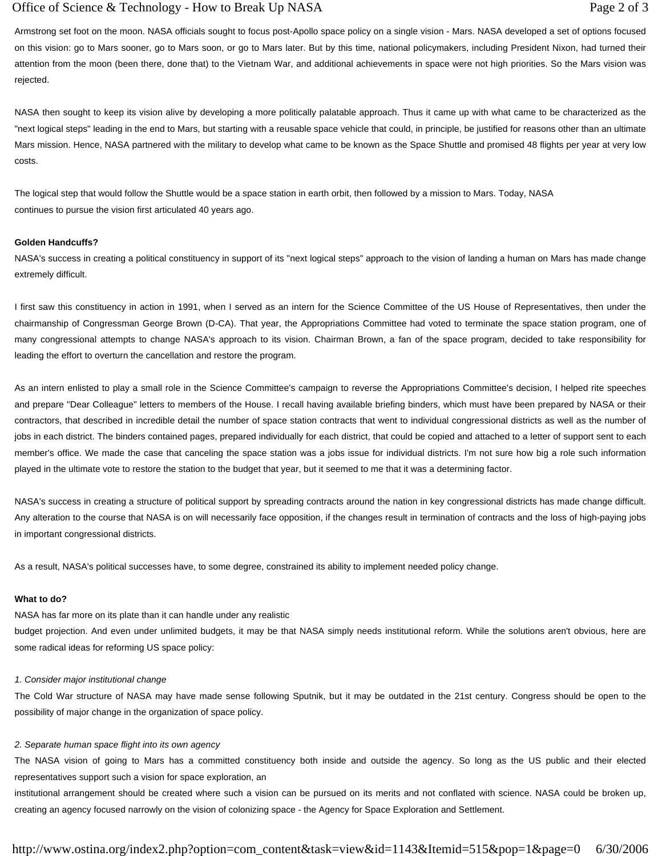Armstrong set foot on the moon. NASA officials sought to focus post-Apollo space policy on a single vision - Mars. NASA developed a set of options focused on this vision: go to Mars sooner, go to Mars soon, or go to Mars later. But by this time, national policymakers, including President Nixon, had turned their attention from the moon (been there, done that) to the Vietnam War, and additional achievements in space were not high priorities. So the Mars vision was rejected.

NASA then sought to keep its vision alive by developing a more politically palatable approach. Thus it came up with what came to be characterized as the "next logical steps" leading in the end to Mars, but starting with a reusable space vehicle that could, in principle, be justified for reasons other than an ultimate Mars mission. Hence, NASA partnered with the military to develop what came to be known as the Space Shuttle and promised 48 flights per year at very low costs.

The logical step that would follow the Shuttle would be a space station in earth orbit, then followed by a mission to Mars. Today, NASA continues to pursue the vision first articulated 40 years ago.

### **Golden Handcuffs?**

NASA's success in creating a political constituency in support of its "next logical steps" approach to the vision of landing a human on Mars has made change extremely difficult.

I first saw this constituency in action in 1991, when I served as an intern for the Science Committee of the US House of Representatives, then under the chairmanship of Congressman George Brown (D-CA). That year, the Appropriations Committee had voted to terminate the space station program, one of many congressional attempts to change NASA's approach to its vision. Chairman Brown, a fan of the space program, decided to take responsibility for leading the effort to overturn the cancellation and restore the program.

As an intern enlisted to play a small role in the Science Committee's campaign to reverse the Appropriations Committee's decision, I helped rite speeches and prepare "Dear Colleague" letters to members of the House. I recall having available briefing binders, which must have been prepared by NASA or their contractors, that described in incredible detail the number of space station contracts that went to individual congressional districts as well as the number of jobs in each district. The binders contained pages, prepared individually for each district, that could be copied and attached to a letter of support sent to each member's office. We made the case that canceling the space station was a jobs issue for individual districts. I'm not sure how big a role such information played in the ultimate vote to restore the station to the budget that year, but it seemed to me that it was a determining factor.

NASA's success in creating a structure of political support by spreading contracts around the nation in key congressional districts has made change difficult. Any alteration to the course that NASA is on will necessarily face opposition, if the changes result in termination of contracts and the loss of high-paying jobs in important congressional districts.

As a result, NASA's political successes have, to some degree, constrained its ability to implement needed policy change.

## **What to do?**

NASA has far more on its plate than it can handle under any realistic budget projection. And even under unlimited budgets, it may be that NASA simply needs institutional reform. While the solutions aren't obvious, here are some radical ideas for reforming US space policy:

# *1. Consider major institutional change*

The Cold War structure of NASA may have made sense following Sputnik, but it may be outdated in the 21st century. Congress should be open to the possibility of major change in the organization of space policy.

# *2. Separate human space flight into its own agency*

The NASA vision of going to Mars has a committed constituency both inside and outside the agency. So long as the US public and their elected representatives support such a vision for space exploration, an

institutional arrangement should be created where such a vision can be pursued on its merits and not conflated with science. NASA could be broken up, creating an agency focused narrowly on the vision of colonizing space - the Agency for Space Exploration and Settlement.